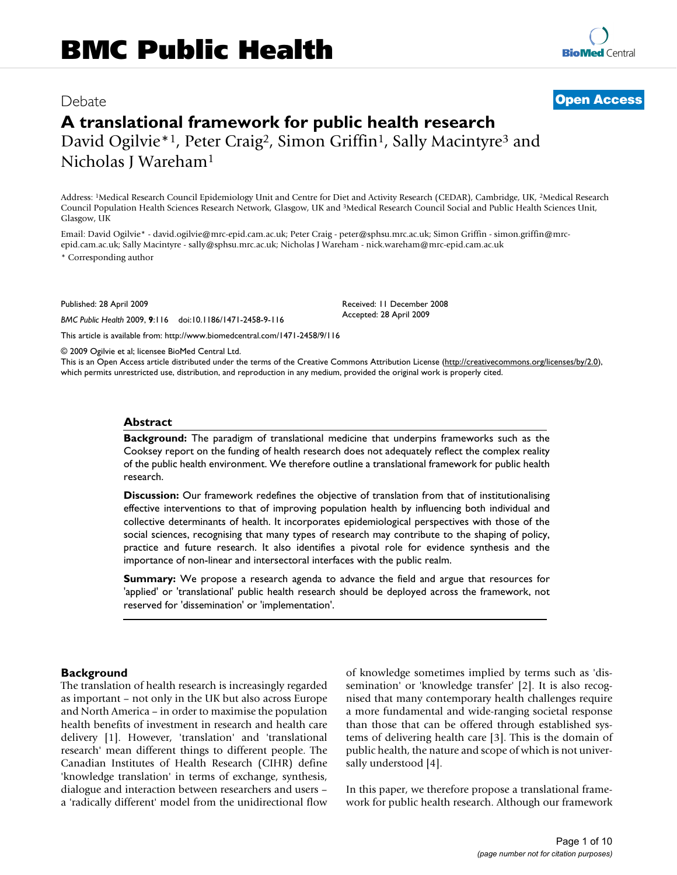# Debate **[Open Access](http://www.biomedcentral.com/info/about/charter/)**

# **A translational framework for public health research** David Ogilvie<sup>\*1</sup>, Peter Craig<sup>2</sup>, Simon Griffin<sup>1</sup>, Sally Macintyre<sup>3</sup> and Nicholas J Wareham1

Address: 1Medical Research Council Epidemiology Unit and Centre for Diet and Activity Research (CEDAR), Cambridge, UK, 2Medical Research Council Population Health Sciences Research Network, Glasgow, UK and 3Medical Research Council Social and Public Health Sciences Unit, Glasgow, UK

Email: David Ogilvie\* - david.ogilvie@mrc-epid.cam.ac.uk; Peter Craig - peter@sphsu.mrc.ac.uk; Simon Griffin - simon.griffin@mrcepid.cam.ac.uk; Sally Macintyre - sally@sphsu.mrc.ac.uk; Nicholas J Wareham - nick.wareham@mrc-epid.cam.ac.uk

\* Corresponding author

Published: 28 April 2009

*BMC Public Health* 2009, **9**:116 doi:10.1186/1471-2458-9-116

[This article is available from: http://www.biomedcentral.com/1471-2458/9/116](http://www.biomedcentral.com/1471-2458/9/116)

© 2009 Ogilvie et al; licensee BioMed Central Ltd.

This is an Open Access article distributed under the terms of the Creative Commons Attribution License [\(http://creativecommons.org/licenses/by/2.0\)](http://creativecommons.org/licenses/by/2.0), which permits unrestricted use, distribution, and reproduction in any medium, provided the original work is properly cited.

Received: 11 December 2008 Accepted: 28 April 2009

### **Abstract**

**Background:** The paradigm of translational medicine that underpins frameworks such as the Cooksey report on the funding of health research does not adequately reflect the complex reality of the public health environment. We therefore outline a translational framework for public health research.

**Discussion:** Our framework redefines the objective of translation from that of institutionalising effective interventions to that of improving population health by influencing both individual and collective determinants of health. It incorporates epidemiological perspectives with those of the social sciences, recognising that many types of research may contribute to the shaping of policy, practice and future research. It also identifies a pivotal role for evidence synthesis and the importance of non-linear and intersectoral interfaces with the public realm.

**Summary:** We propose a research agenda to advance the field and argue that resources for 'applied' or 'translational' public health research should be deployed across the framework, not reserved for 'dissemination' or 'implementation'.

## **Background**

The translation of health research is increasingly regarded as important – not only in the UK but also across Europe and North America – in order to maximise the population health benefits of investment in research and health care delivery [1]. However, 'translation' and 'translational research' mean different things to different people. The Canadian Institutes of Health Research (CIHR) define 'knowledge translation' in terms of exchange, synthesis, dialogue and interaction between researchers and users – a 'radically different' model from the unidirectional flow of knowledge sometimes implied by terms such as 'dissemination' or 'knowledge transfer' [2]. It is also recognised that many contemporary health challenges require a more fundamental and wide-ranging societal response than those that can be offered through established systems of delivering health care [3]. This is the domain of public health, the nature and scope of which is not universally understood [4].

In this paper, we therefore propose a translational framework for public health research. Although our framework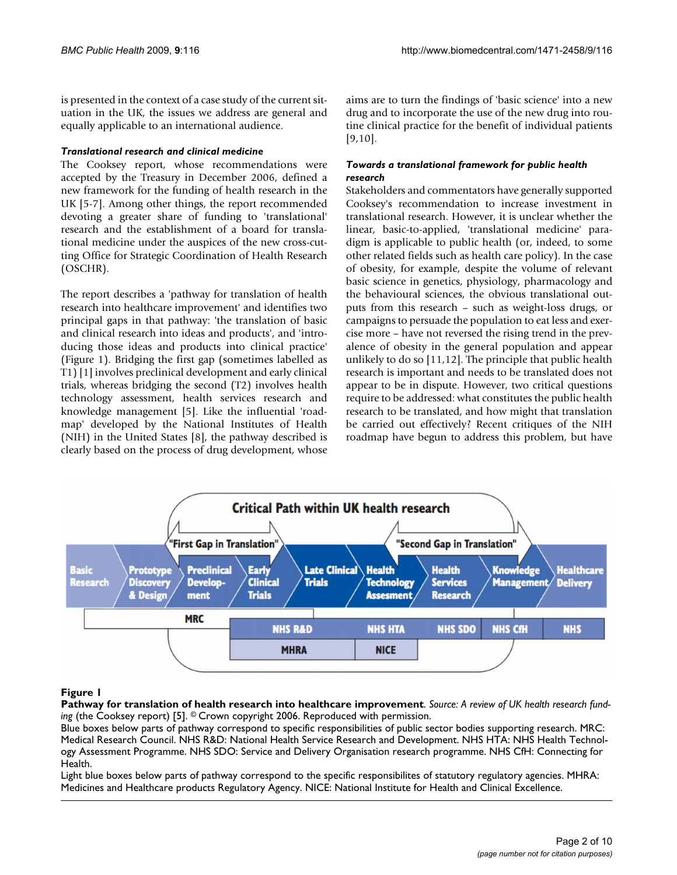is presented in the context of a case study of the current situation in the UK, the issues we address are general and equally applicable to an international audience.

# *Translational research and clinical medicine*

The Cooksey report, whose recommendations were accepted by the Treasury in December 2006, defined a new framework for the funding of health research in the UK [5-7]. Among other things, the report recommended devoting a greater share of funding to 'translational' research and the establishment of a board for translational medicine under the auspices of the new cross-cutting Office for Strategic Coordination of Health Research (OSCHR).

The report describes a 'pathway for translation of health research into healthcare improvement' and identifies two principal gaps in that pathway: 'the translation of basic and clinical research into ideas and products', and 'introducing those ideas and products into clinical practice' (Figure 1). Bridging the first gap (sometimes labelled as T1) [1] involves preclinical development and early clinical trials, whereas bridging the second (T2) involves health technology assessment, health services research and knowledge management [5]. Like the influential 'roadmap' developed by the National Institutes of Health (NIH) in the United States [8], the pathway described is clearly based on the process of drug development, whose aims are to turn the findings of 'basic science' into a new drug and to incorporate the use of the new drug into routine clinical practice for the benefit of individual patients [9,10].

# *Towards a translational framework for public health research*

Stakeholders and commentators have generally supported Cooksey's recommendation to increase investment in translational research. However, it is unclear whether the linear, basic-to-applied, 'translational medicine' paradigm is applicable to public health (or, indeed, to some other related fields such as health care policy). In the case of obesity, for example, despite the volume of relevant basic science in genetics, physiology, pharmacology and the behavioural sciences, the obvious translational outputs from this research – such as weight-loss drugs, or campaigns to persuade the population to eat less and exercise more – have not reversed the rising trend in the prevalence of obesity in the general population and appear unlikely to do so [11,12]. The principle that public health research is important and needs to be translated does not appear to be in dispute. However, two critical questions require to be addressed: what constitutes the public health research to be translated, and how might that translation be carried out effectively? Recent critiques of the NIH roadmap have begun to address this problem, but have



# **Figure 1**

**Pathway for translation of health research into healthcare improvement**. *Source: A review of UK health research funding* (the Cooksey report) [5]. © Crown copyright 2006. Reproduced with permission.

Blue boxes below parts of pathway correspond to specific responsibilities of public sector bodies supporting research. MRC: Medical Research Council. NHS R&D: National Health Service Research and Development. NHS HTA: NHS Health Technology Assessment Programme. NHS SDO: Service and Delivery Organisation research programme. NHS CfH: Connecting for Health.

Light blue boxes below parts of pathway correspond to the specific responsibilites of statutory regulatory agencies. MHRA: Medicines and Healthcare products Regulatory Agency. NICE: National Institute for Health and Clinical Excellence.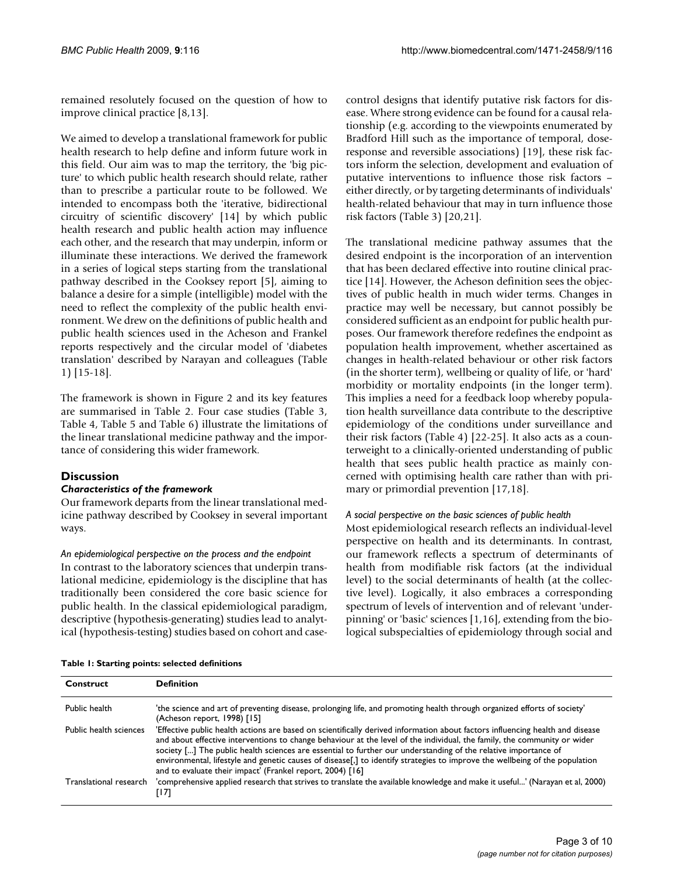remained resolutely focused on the question of how to improve clinical practice [8,13].

We aimed to develop a translational framework for public health research to help define and inform future work in this field. Our aim was to map the territory, the 'big picture' to which public health research should relate, rather than to prescribe a particular route to be followed. We intended to encompass both the 'iterative, bidirectional circuitry of scientific discovery' [14] by which public health research and public health action may influence each other, and the research that may underpin, inform or illuminate these interactions. We derived the framework in a series of logical steps starting from the translational pathway described in the Cooksey report [5], aiming to balance a desire for a simple (intelligible) model with the need to reflect the complexity of the public health environment. We drew on the definitions of public health and public health sciences used in the Acheson and Frankel reports respectively and the circular model of 'diabetes translation' described by Narayan and colleagues (Table 1) [15-18].

The framework is shown in Figure 2 and its key features are summarised in Table 2. Four case studies (Table 3, Table 4, Table 5 and Table 6) illustrate the limitations of the linear translational medicine pathway and the importance of considering this wider framework.

# **Discussion**

# *Characteristics of the framework*

Our framework departs from the linear translational medicine pathway described by Cooksey in several important ways.

# *An epidemiological perspective on the process and the endpoint*

In contrast to the laboratory sciences that underpin translational medicine, epidemiology is the discipline that has traditionally been considered the core basic science for public health. In the classical epidemiological paradigm, descriptive (hypothesis-generating) studies lead to analytical (hypothesis-testing) studies based on cohort and casecontrol designs that identify putative risk factors for disease. Where strong evidence can be found for a causal relationship (e.g. according to the viewpoints enumerated by Bradford Hill such as the importance of temporal, doseresponse and reversible associations) [19], these risk factors inform the selection, development and evaluation of putative interventions to influence those risk factors – either directly, or by targeting determinants of individuals' health-related behaviour that may in turn influence those risk factors (Table 3) [20,21].

The translational medicine pathway assumes that the desired endpoint is the incorporation of an intervention that has been declared effective into routine clinical practice [14]. However, the Acheson definition sees the objectives of public health in much wider terms. Changes in practice may well be necessary, but cannot possibly be considered sufficient as an endpoint for public health purposes. Our framework therefore redefines the endpoint as population health improvement, whether ascertained as changes in health-related behaviour or other risk factors (in the shorter term), wellbeing or quality of life, or 'hard' morbidity or mortality endpoints (in the longer term). This implies a need for a feedback loop whereby population health surveillance data contribute to the descriptive epidemiology of the conditions under surveillance and their risk factors (Table 4) [22-25]. It also acts as a counterweight to a clinically-oriented understanding of public health that sees public health practice as mainly concerned with optimising health care rather than with primary or primordial prevention [17,18].

# *A social perspective on the basic sciences of public health*

Most epidemiological research reflects an individual-level perspective on health and its determinants. In contrast, our framework reflects a spectrum of determinants of health from modifiable risk factors (at the individual level) to the social determinants of health (at the collective level). Logically, it also embraces a corresponding spectrum of levels of intervention and of relevant 'underpinning' or 'basic' sciences [1,16], extending from the biological subspecialties of epidemiology through social and

| GUNSLI UCL             | решкил                                                                                                                                                                                                                                                                                                                                                                                                                                                                                                                                                                  |
|------------------------|-------------------------------------------------------------------------------------------------------------------------------------------------------------------------------------------------------------------------------------------------------------------------------------------------------------------------------------------------------------------------------------------------------------------------------------------------------------------------------------------------------------------------------------------------------------------------|
| Public health          | 'the science and art of preventing disease, prolonging life, and promoting health through organized efforts of society'<br>(Acheson report, 1998) [15]                                                                                                                                                                                                                                                                                                                                                                                                                  |
| Public health sciences | 'Effective public health actions are based on scientifically derived information about factors influencing health and disease<br>and about effective interventions to change behaviour at the level of the individual, the family, the community or wider<br>society [] The public health sciences are essential to further our understanding of the relative importance of<br>environmental, lifestyle and genetic causes of disease[,] to identify strategies to improve the wellbeing of the population<br>and to evaluate their impact' (Frankel report, 2004) [16] |
| Translational research | 'comprehensive applied research that strives to translate the available knowledge and make it useful' (Narayan et al, 2000)<br>171                                                                                                                                                                                                                                                                                                                                                                                                                                      |

|  |  | Table 1: Starting points: selected definitions |
|--|--|------------------------------------------------|
|  |  |                                                |

**Construct Definition**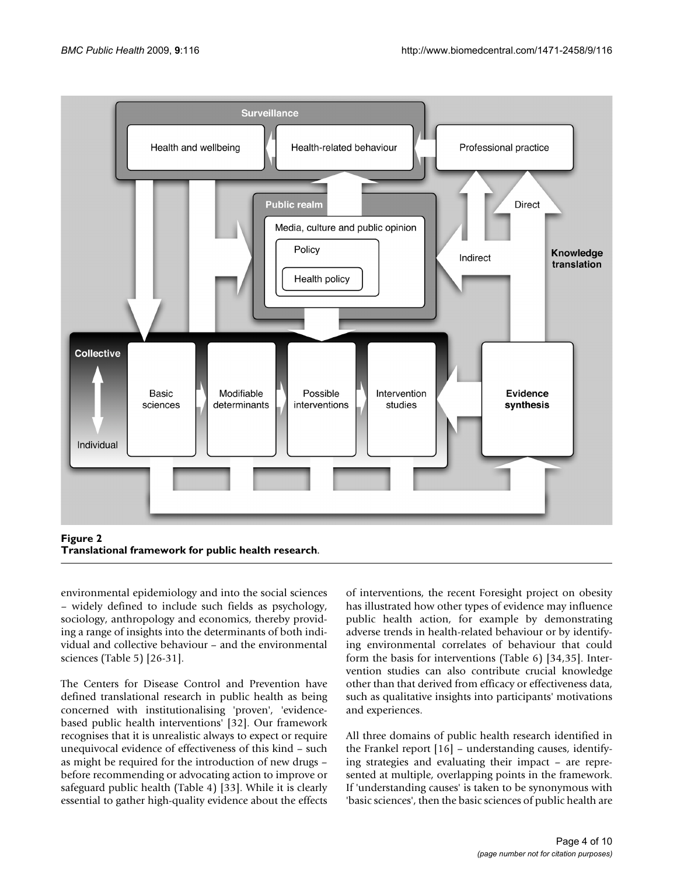

**Translational framework for public health research**.

environmental epidemiology and into the social sciences – widely defined to include such fields as psychology, sociology, anthropology and economics, thereby providing a range of insights into the determinants of both individual and collective behaviour – and the environmental sciences (Table 5) [26-31].

The Centers for Disease Control and Prevention have defined translational research in public health as being concerned with institutionalising 'proven', 'evidencebased public health interventions' [32]. Our framework recognises that it is unrealistic always to expect or require unequivocal evidence of effectiveness of this kind – such as might be required for the introduction of new drugs – before recommending or advocating action to improve or safeguard public health (Table 4) [33]. While it is clearly essential to gather high-quality evidence about the effects of interventions, the recent Foresight project on obesity has illustrated how other types of evidence may influence public health action, for example by demonstrating adverse trends in health-related behaviour or by identifying environmental correlates of behaviour that could form the basis for interventions (Table 6) [34,35]. Intervention studies can also contribute crucial knowledge other than that derived from efficacy or effectiveness data, such as qualitative insights into participants' motivations and experiences.

All three domains of public health research identified in the Frankel report [16] – understanding causes, identifying strategies and evaluating their impact – are represented at multiple, overlapping points in the framework. If 'understanding causes' is taken to be synonymous with 'basic sciences', then the basic sciences of public health are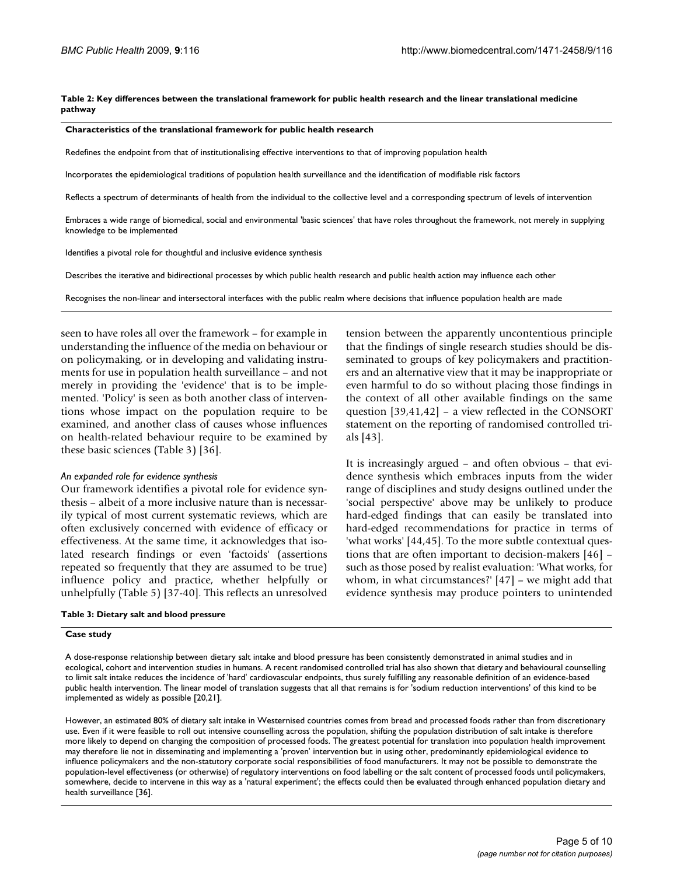### **Table 2: Key differences between the translational framework for public health research and the linear translational medicine pathway**

#### **Characteristics of the translational framework for public health research**

Redefines the endpoint from that of institutionalising effective interventions to that of improving population health

Incorporates the epidemiological traditions of population health surveillance and the identification of modifiable risk factors

Reflects a spectrum of determinants of health from the individual to the collective level and a corresponding spectrum of levels of intervention

Embraces a wide range of biomedical, social and environmental 'basic sciences' that have roles throughout the framework, not merely in supplying knowledge to be implemented

Identifies a pivotal role for thoughtful and inclusive evidence synthesis

Describes the iterative and bidirectional processes by which public health research and public health action may influence each other

Recognises the non-linear and intersectoral interfaces with the public realm where decisions that influence population health are made

seen to have roles all over the framework – for example in understanding the influence of the media on behaviour or on policymaking, or in developing and validating instruments for use in population health surveillance – and not merely in providing the 'evidence' that is to be implemented. 'Policy' is seen as both another class of interventions whose impact on the population require to be examined, and another class of causes whose influences on health-related behaviour require to be examined by these basic sciences (Table 3) [36].

### *An expanded role for evidence synthesis*

Our framework identifies a pivotal role for evidence synthesis – albeit of a more inclusive nature than is necessarily typical of most current systematic reviews, which are often exclusively concerned with evidence of efficacy or effectiveness. At the same time, it acknowledges that isolated research findings or even 'factoids' (assertions repeated so frequently that they are assumed to be true) influence policy and practice, whether helpfully or unhelpfully (Table 5) [37-40]. This reflects an unresolved

#### **Table 3: Dietary salt and blood pressure**

#### **Case study**

that the findings of single research studies should be disseminated to groups of key policymakers and practitioners and an alternative view that it may be inappropriate or even harmful to do so without placing those findings in the context of all other available findings on the same question [39,41,42] – a view reflected in the CONSORT statement on the reporting of randomised controlled trials [43].

tension between the apparently uncontentious principle

It is increasingly argued – and often obvious – that evidence synthesis which embraces inputs from the wider range of disciplines and study designs outlined under the 'social perspective' above may be unlikely to produce hard-edged findings that can easily be translated into hard-edged recommendations for practice in terms of 'what works' [44,45]. To the more subtle contextual questions that are often important to decision-makers [46] – such as those posed by realist evaluation: 'What works, for whom, in what circumstances?' [47] – we might add that evidence synthesis may produce pointers to unintended

A dose-response relationship between dietary salt intake and blood pressure has been consistently demonstrated in animal studies and in ecological, cohort and intervention studies in humans. A recent randomised controlled trial has also shown that dietary and behavioural counselling to limit salt intake reduces the incidence of 'hard' cardiovascular endpoints, thus surely fulfilling any reasonable definition of an evidence-based public health intervention. The linear model of translation suggests that all that remains is for 'sodium reduction interventions' of this kind to be implemented as widely as possible [20,21].

However, an estimated 80% of dietary salt intake in Westernised countries comes from bread and processed foods rather than from discretionary use. Even if it were feasible to roll out intensive counselling across the population, shifting the population distribution of salt intake is therefore more likely to depend on changing the composition of processed foods. The greatest potential for translation into population health improvement may therefore lie not in disseminating and implementing a 'proven' intervention but in using other, predominantly epidemiological evidence to influence policymakers and the non-statutory corporate social responsibilities of food manufacturers. It may not be possible to demonstrate the population-level effectiveness (or otherwise) of regulatory interventions on food labelling or the salt content of processed foods until policymakers, somewhere, decide to intervene in this way as a 'natural experiment'; the effects could then be evaluated through enhanced population dietary and health surveillance [36].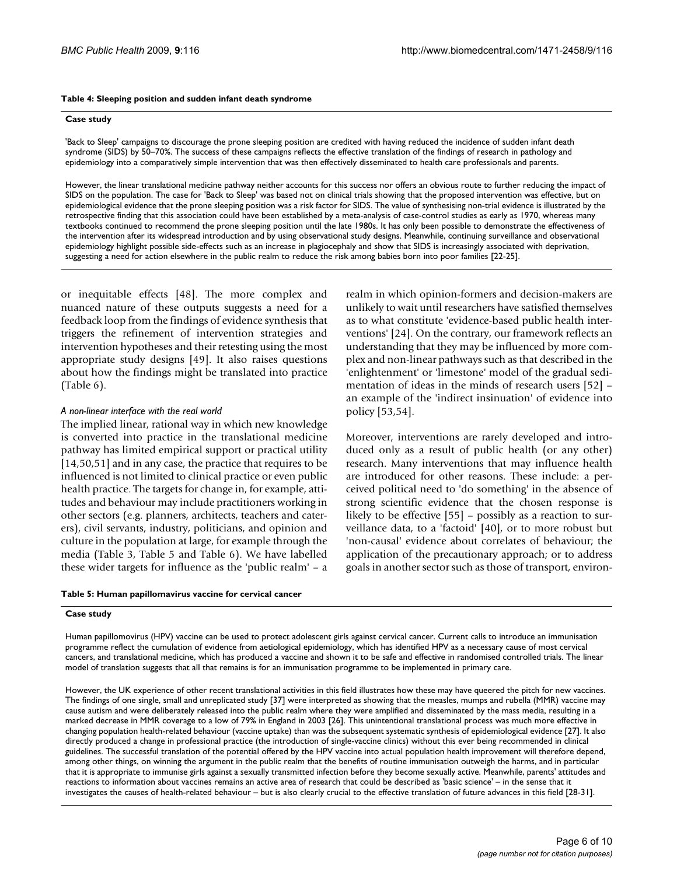#### **Table 4: Sleeping position and sudden infant death syndrome**

#### **Case study**

'Back to Sleep' campaigns to discourage the prone sleeping position are credited with having reduced the incidence of sudden infant death syndrome (SIDS) by 50–70%. The success of these campaigns reflects the effective translation of the findings of research in pathology and epidemiology into a comparatively simple intervention that was then effectively disseminated to health care professionals and parents.

However, the linear translational medicine pathway neither accounts for this success nor offers an obvious route to further reducing the impact of SIDS on the population. The case for 'Back to Sleep' was based not on clinical trials showing that the proposed intervention was effective, but on epidemiological evidence that the prone sleeping position was a risk factor for SIDS. The value of synthesising non-trial evidence is illustrated by the retrospective finding that this association could have been established by a meta-analysis of case-control studies as early as 1970, whereas many textbooks continued to recommend the prone sleeping position until the late 1980s. It has only been possible to demonstrate the effectiveness of the intervention after its widespread introduction and by using observational study designs. Meanwhile, continuing surveillance and observational epidemiology highlight possible side-effects such as an increase in plagiocephaly and show that SIDS is increasingly associated with deprivation, suggesting a need for action elsewhere in the public realm to reduce the risk among babies born into poor families [22-25].

or inequitable effects [48]. The more complex and nuanced nature of these outputs suggests a need for a feedback loop from the findings of evidence synthesis that triggers the refinement of intervention strategies and intervention hypotheses and their retesting using the most appropriate study designs [49]. It also raises questions about how the findings might be translated into practice (Table 6).

### *A non-linear interface with the real world*

The implied linear, rational way in which new knowledge is converted into practice in the translational medicine pathway has limited empirical support or practical utility [14,50,51] and in any case, the practice that requires to be influenced is not limited to clinical practice or even public health practice. The targets for change in, for example, attitudes and behaviour may include practitioners working in other sectors (e.g. planners, architects, teachers and caterers), civil servants, industry, politicians, and opinion and culture in the population at large, for example through the media (Table 3, Table 5 and Table 6). We have labelled these wider targets for influence as the 'public realm' – a

#### **Table 5: Human papillomavirus vaccine for cervical cancer**

#### **Case study**

Human papillomovirus (HPV) vaccine can be used to protect adolescent girls against cervical cancer. Current calls to introduce an immunisation programme reflect the cumulation of evidence from aetiological epidemiology, which has identified HPV as a necessary cause of most cervical cancers, and translational medicine, which has produced a vaccine and shown it to be safe and effective in randomised controlled trials. The linear model of translation suggests that all that remains is for an immunisation programme to be implemented in primary care.

However, the UK experience of other recent translational activities in this field illustrates how these may have queered the pitch for new vaccines. The findings of one single, small and unreplicated study [37] were interpreted as showing that the measles, mumps and rubella (MMR) vaccine may cause autism and were deliberately released into the public realm where they were amplified and disseminated by the mass media, resulting in a marked decrease in MMR coverage to a low of 79% in England in 2003 [26]. This unintentional translational process was much more effective in changing population health-related behaviour (vaccine uptake) than was the subsequent systematic synthesis of epidemiological evidence [27]. It also directly produced a change in professional practice (the introduction of single-vaccine clinics) without this ever being recommended in clinical guidelines. The successful translation of the potential offered by the HPV vaccine into actual population health improvement will therefore depend, among other things, on winning the argument in the public realm that the benefits of routine immunisation outweigh the harms, and in particular that it is appropriate to immunise girls against a sexually transmitted infection before they become sexually active. Meanwhile, parents' attitudes and reactions to information about vaccines remains an active area of research that could be described as 'basic science' – in the sense that it investigates the causes of health-related behaviour – but is also clearly crucial to the effective translation of future advances in this field [28-31].

realm in which opinion-formers and decision-makers are unlikely to wait until researchers have satisfied themselves as to what constitute 'evidence-based public health interventions' [24]. On the contrary, our framework reflects an understanding that they may be influenced by more complex and non-linear pathways such as that described in the 'enlightenment' or 'limestone' model of the gradual sedimentation of ideas in the minds of research users [52] – an example of the 'indirect insinuation' of evidence into policy [53,54].

Moreover, interventions are rarely developed and introduced only as a result of public health (or any other) research. Many interventions that may influence health are introduced for other reasons. These include: a perceived political need to 'do something' in the absence of strong scientific evidence that the chosen response is likely to be effective [55] – possibly as a reaction to surveillance data, to a 'factoid' [40], or to more robust but 'non-causal' evidence about correlates of behaviour; the application of the precautionary approach; or to address goals in another sector such as those of transport, environ-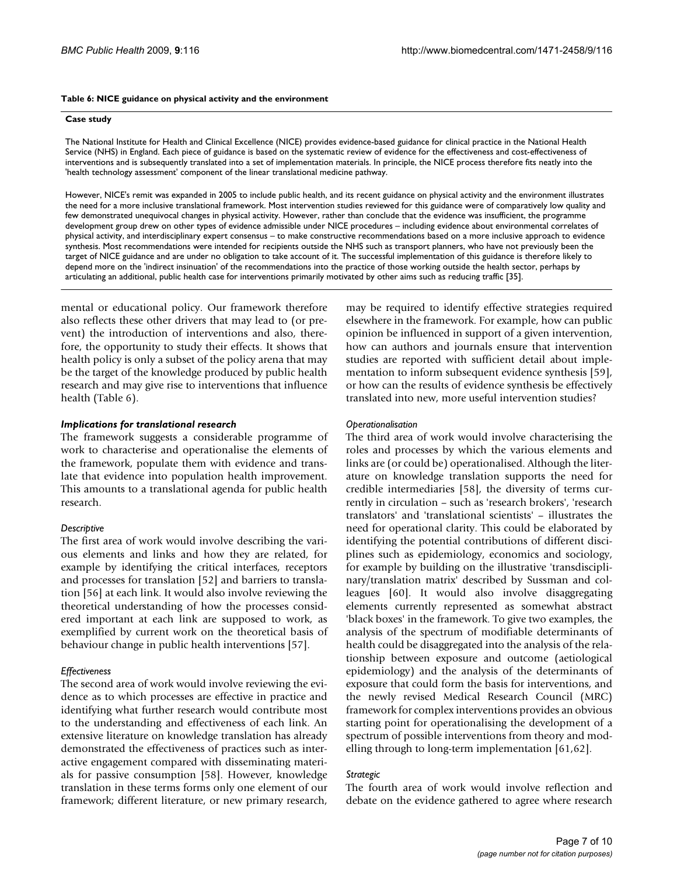### **Table 6: NICE guidance on physical activity and the environment**

#### **Case study**

The National Institute for Health and Clinical Excellence (NICE) provides evidence-based guidance for clinical practice in the National Health Service (NHS) in England. Each piece of guidance is based on the systematic review of evidence for the effectiveness and cost-effectiveness of interventions and is subsequently translated into a set of implementation materials. In principle, the NICE process therefore fits neatly into the 'health technology assessment' component of the linear translational medicine pathway.

However, NICE's remit was expanded in 2005 to include public health, and its recent guidance on physical activity and the environment illustrates the need for a more inclusive translational framework. Most intervention studies reviewed for this guidance were of comparatively low quality and few demonstrated unequivocal changes in physical activity. However, rather than conclude that the evidence was insufficient, the programme development group drew on other types of evidence admissible under NICE procedures – including evidence about environmental correlates of physical activity, and interdisciplinary expert consensus – to make constructive recommendations based on a more inclusive approach to evidence synthesis. Most recommendations were intended for recipients outside the NHS such as transport planners, who have not previously been the target of NICE guidance and are under no obligation to take account of it. The successful implementation of this guidance is therefore likely to depend more on the 'indirect insinuation' of the recommendations into the practice of those working outside the health sector, perhaps by articulating an additional, public health case for interventions primarily motivated by other aims such as reducing traffic [35].

mental or educational policy. Our framework therefore also reflects these other drivers that may lead to (or prevent) the introduction of interventions and also, therefore, the opportunity to study their effects. It shows that health policy is only a subset of the policy arena that may be the target of the knowledge produced by public health research and may give rise to interventions that influence health (Table 6).

### *Implications for translational research*

The framework suggests a considerable programme of work to characterise and operationalise the elements of the framework, populate them with evidence and translate that evidence into population health improvement. This amounts to a translational agenda for public health research.

## *Descriptive*

The first area of work would involve describing the various elements and links and how they are related, for example by identifying the critical interfaces, receptors and processes for translation [52] and barriers to translation [56] at each link. It would also involve reviewing the theoretical understanding of how the processes considered important at each link are supposed to work, as exemplified by current work on the theoretical basis of behaviour change in public health interventions [57].

## *Effectiveness*

The second area of work would involve reviewing the evidence as to which processes are effective in practice and identifying what further research would contribute most to the understanding and effectiveness of each link. An extensive literature on knowledge translation has already demonstrated the effectiveness of practices such as interactive engagement compared with disseminating materials for passive consumption [58]. However, knowledge translation in these terms forms only one element of our framework; different literature, or new primary research,

may be required to identify effective strategies required elsewhere in the framework. For example, how can public opinion be influenced in support of a given intervention, how can authors and journals ensure that intervention studies are reported with sufficient detail about implementation to inform subsequent evidence synthesis [59], or how can the results of evidence synthesis be effectively translated into new, more useful intervention studies?

### *Operationalisation*

The third area of work would involve characterising the roles and processes by which the various elements and links are (or could be) operationalised. Although the literature on knowledge translation supports the need for credible intermediaries [58], the diversity of terms currently in circulation – such as 'research brokers', 'research translators' and 'translational scientists' – illustrates the need for operational clarity. This could be elaborated by identifying the potential contributions of different disciplines such as epidemiology, economics and sociology, for example by building on the illustrative 'transdisciplinary/translation matrix' described by Sussman and colleagues [60]. It would also involve disaggregating elements currently represented as somewhat abstract 'black boxes' in the framework. To give two examples, the analysis of the spectrum of modifiable determinants of health could be disaggregated into the analysis of the relationship between exposure and outcome (aetiological epidemiology) and the analysis of the determinants of exposure that could form the basis for interventions, and the newly revised Medical Research Council (MRC) framework for complex interventions provides an obvious starting point for operationalising the development of a spectrum of possible interventions from theory and modelling through to long-term implementation [61,62].

## *Strategic*

The fourth area of work would involve reflection and debate on the evidence gathered to agree where research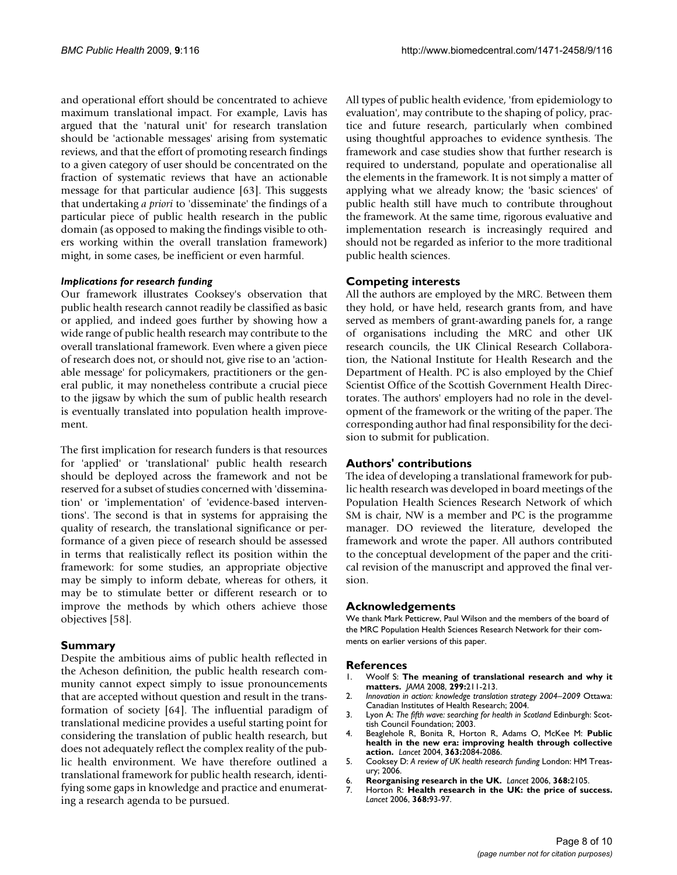and operational effort should be concentrated to achieve maximum translational impact. For example, Lavis has argued that the 'natural unit' for research translation should be 'actionable messages' arising from systematic reviews, and that the effort of promoting research findings to a given category of user should be concentrated on the fraction of systematic reviews that have an actionable message for that particular audience [63]. This suggests that undertaking *a priori* to 'disseminate' the findings of a particular piece of public health research in the public domain (as opposed to making the findings visible to others working within the overall translation framework) might, in some cases, be inefficient or even harmful.

# *Implications for research funding*

Our framework illustrates Cooksey's observation that public health research cannot readily be classified as basic or applied, and indeed goes further by showing how a wide range of public health research may contribute to the overall translational framework. Even where a given piece of research does not, or should not, give rise to an 'actionable message' for policymakers, practitioners or the general public, it may nonetheless contribute a crucial piece to the jigsaw by which the sum of public health research is eventually translated into population health improvement.

The first implication for research funders is that resources for 'applied' or 'translational' public health research should be deployed across the framework and not be reserved for a subset of studies concerned with 'dissemination' or 'implementation' of 'evidence-based interventions'. The second is that in systems for appraising the quality of research, the translational significance or performance of a given piece of research should be assessed in terms that realistically reflect its position within the framework: for some studies, an appropriate objective may be simply to inform debate, whereas for others, it may be to stimulate better or different research or to improve the methods by which others achieve those objectives [58].

# **Summary**

Despite the ambitious aims of public health reflected in the Acheson definition, the public health research community cannot expect simply to issue pronouncements that are accepted without question and result in the transformation of society [64]. The influential paradigm of translational medicine provides a useful starting point for considering the translation of public health research, but does not adequately reflect the complex reality of the public health environment. We have therefore outlined a translational framework for public health research, identifying some gaps in knowledge and practice and enumerating a research agenda to be pursued.

All types of public health evidence, 'from epidemiology to evaluation', may contribute to the shaping of policy, practice and future research, particularly when combined using thoughtful approaches to evidence synthesis. The framework and case studies show that further research is required to understand, populate and operationalise all the elements in the framework. It is not simply a matter of applying what we already know; the 'basic sciences' of public health still have much to contribute throughout the framework. At the same time, rigorous evaluative and implementation research is increasingly required and should not be regarded as inferior to the more traditional public health sciences.

# **Competing interests**

All the authors are employed by the MRC. Between them they hold, or have held, research grants from, and have served as members of grant-awarding panels for, a range of organisations including the MRC and other UK research councils, the UK Clinical Research Collaboration, the National Institute for Health Research and the Department of Health. PC is also employed by the Chief Scientist Office of the Scottish Government Health Directorates. The authors' employers had no role in the development of the framework or the writing of the paper. The corresponding author had final responsibility for the decision to submit for publication.

# **Authors' contributions**

The idea of developing a translational framework for public health research was developed in board meetings of the Population Health Sciences Research Network of which SM is chair, NW is a member and PC is the programme manager. DO reviewed the literature, developed the framework and wrote the paper. All authors contributed to the conceptual development of the paper and the critical revision of the manuscript and approved the final version.

# **Acknowledgements**

We thank Mark Petticrew, Paul Wilson and the members of the board of the MRC Population Health Sciences Research Network for their comments on earlier versions of this paper.

## **References**

- 1. Woolf S: **[The meaning of translational research and why it](http://www.ncbi.nlm.nih.gov/entrez/query.fcgi?cmd=Retrieve&db=PubMed&dopt=Abstract&list_uids=18182604) [matters.](http://www.ncbi.nlm.nih.gov/entrez/query.fcgi?cmd=Retrieve&db=PubMed&dopt=Abstract&list_uids=18182604)** *JAMA* 2008, **299:**211-213.
- 2. *Innovation in action: knowledge translation strategy 2004–2009* Ottawa: Canadian Institutes of Health Research; 2004.
- 3. Lyon A: *The fifth wave: searching for health in Scotland* Edinburgh: Scottish Council Foundation; 2003.
- 4. Beaglehole R, Bonita R, Horton R, Adams O, McKee M: **[Public](http://www.ncbi.nlm.nih.gov/entrez/query.fcgi?cmd=Retrieve&db=PubMed&dopt=Abstract&list_uids=15207962) [health in the new era: improving health through collective](http://www.ncbi.nlm.nih.gov/entrez/query.fcgi?cmd=Retrieve&db=PubMed&dopt=Abstract&list_uids=15207962) [action.](http://www.ncbi.nlm.nih.gov/entrez/query.fcgi?cmd=Retrieve&db=PubMed&dopt=Abstract&list_uids=15207962)** *Lancet* 2004, **363:**2084-2086.
- 5. Cooksey D: *A review of UK health research funding* London: HM Treasury; 2006.
- 6. **[Reorganising research in the UK.](http://www.ncbi.nlm.nih.gov/entrez/query.fcgi?cmd=Retrieve&db=PubMed&dopt=Abstract&list_uids=17174688)** *Lancet* 2006, **368:**2105.
- Horton R: **[Health research in the UK: the price of success.](http://www.ncbi.nlm.nih.gov/entrez/query.fcgi?cmd=Retrieve&db=PubMed&dopt=Abstract&list_uids=16829278)** *Lancet* 2006, **368:**93-97.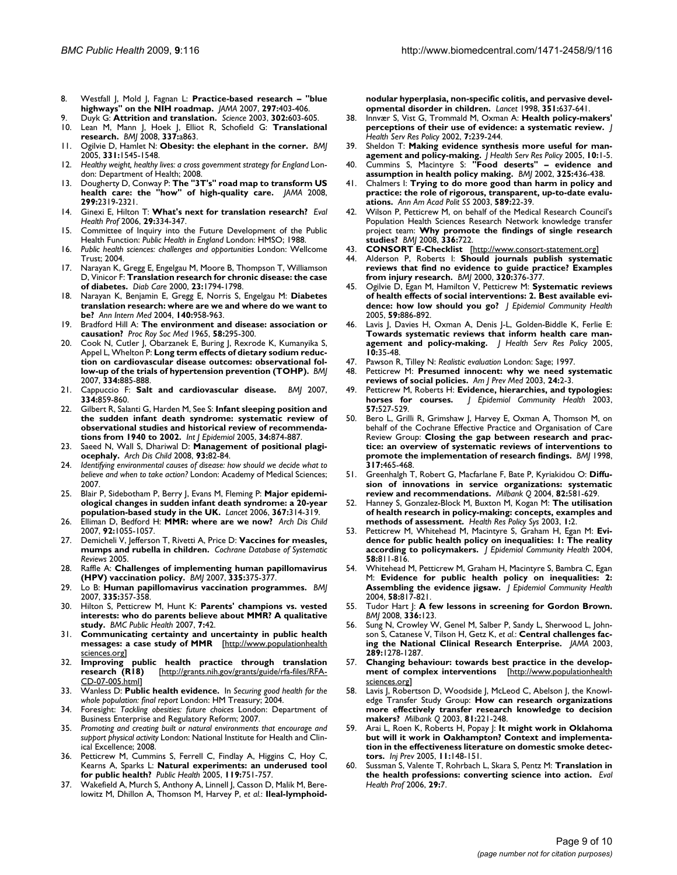- 8. Westfall J, Mold J, Fagnan L: **[Practice-based research "blue](http://www.ncbi.nlm.nih.gov/entrez/query.fcgi?cmd=Retrieve&db=PubMed&dopt=Abstract&list_uids=17244837) [highways" on the NIH roadmap.](http://www.ncbi.nlm.nih.gov/entrez/query.fcgi?cmd=Retrieve&db=PubMed&dopt=Abstract&list_uids=17244837)** *JAMA* 2007, **297:**403-406.
- 9. Duyk G: **[Attrition and translation.](http://www.ncbi.nlm.nih.gov/entrez/query.fcgi?cmd=Retrieve&db=PubMed&dopt=Abstract&list_uids=14576424)** *Science* 2003, **302:**603-605.
- 10. Lean M, Mann J, Hoek J, Elliot R, Schofield G: **[Translational](http://www.ncbi.nlm.nih.gov/entrez/query.fcgi?cmd=Retrieve&db=PubMed&dopt=Abstract&list_uids=18755767) [research.](http://www.ncbi.nlm.nih.gov/entrez/query.fcgi?cmd=Retrieve&db=PubMed&dopt=Abstract&list_uids=18755767)** *BMJ* 2008, **337:**a863.
- 11. Ogilvie D, Hamlet N: **[Obesity: the elephant in the corner.](http://www.ncbi.nlm.nih.gov/entrez/query.fcgi?cmd=Retrieve&db=PubMed&dopt=Abstract&list_uids=16373747)** *BMJ* 2005, **331:**1545-1548.
- 12. *Healthy weight, healthy lives: a cross government strategy for England* London: Department of Health; 2008.
- 13. Dougherty D, Conway P: **[The "3T's" road map to transform US](http://www.ncbi.nlm.nih.gov/entrez/query.fcgi?cmd=Retrieve&db=PubMed&dopt=Abstract&list_uids=18492974) [health care: the "how" of high-quality care.](http://www.ncbi.nlm.nih.gov/entrez/query.fcgi?cmd=Retrieve&db=PubMed&dopt=Abstract&list_uids=18492974)** *JAMA* 2008, **299:**2319-2321.
- 14. Ginexi E, Hilton T: **[What's next for translation research?](http://www.ncbi.nlm.nih.gov/entrez/query.fcgi?cmd=Retrieve&db=PubMed&dopt=Abstract&list_uids=16868341)** *Eval Health Prof* 2006, **29:**334-347.
- 15. Committee of Inquiry into the Future Development of the Public Health Function: *Public Health in England* London: HMSO; 1988.
- 16. *Public health sciences: challenges and opportunities* London: Wellcome Trust; 2004.
- 17. Narayan K, Gregg E, Engelgau M, Moore B, Thompson T, Williamson D, Vinicor F: **Translation research for chronic disease: the case of diabetes.** *Diab Care* 2000, **23:**1794-1798.
- 18. Narayan K, Benjamin E, Gregg E, Norris S, Engelgau M: **[Diabetes](http://www.ncbi.nlm.nih.gov/entrez/query.fcgi?cmd=Retrieve&db=PubMed&dopt=Abstract&list_uids=15172921) [translation research: where are we and where do we want to](http://www.ncbi.nlm.nih.gov/entrez/query.fcgi?cmd=Retrieve&db=PubMed&dopt=Abstract&list_uids=15172921) [be?](http://www.ncbi.nlm.nih.gov/entrez/query.fcgi?cmd=Retrieve&db=PubMed&dopt=Abstract&list_uids=15172921)** *Ann Intern Med* 2004, **140:**958-963.
- 19. Bradford Hill A: **[The environment and disease: association or](http://www.ncbi.nlm.nih.gov/entrez/query.fcgi?cmd=Retrieve&db=PubMed&dopt=Abstract&list_uids=14283879) [causation?](http://www.ncbi.nlm.nih.gov/entrez/query.fcgi?cmd=Retrieve&db=PubMed&dopt=Abstract&list_uids=14283879)** *Proc Roy Soc Med* 1965, **58:**295-300.
- 20. Cook N, Cutler J, Obarzanek E, Buring J, Rexrode K, Kumanyika S, Appel L, Whelton P: **[Long term effects of dietary sodium reduc](http://www.ncbi.nlm.nih.gov/entrez/query.fcgi?cmd=Retrieve&db=PubMed&dopt=Abstract&list_uids=17449506)[tion on cardiovascular disease outcomes: observational fol](http://www.ncbi.nlm.nih.gov/entrez/query.fcgi?cmd=Retrieve&db=PubMed&dopt=Abstract&list_uids=17449506)[low-up of the trials of hypertension prevention \(TOHP\).](http://www.ncbi.nlm.nih.gov/entrez/query.fcgi?cmd=Retrieve&db=PubMed&dopt=Abstract&list_uids=17449506)** *BMJ* 2007, **334:**885-888.
- 21. Cappuccio F: **[Salt and cardiovascular disease.](http://www.ncbi.nlm.nih.gov/entrez/query.fcgi?cmd=Retrieve&db=PubMed&dopt=Abstract&list_uids=17463420)** *BMJ* 2007, **334:**859-860.
- 22. Gilbert R, Salanti G, Harden M, See S: **[Infant sleeping position and](http://www.ncbi.nlm.nih.gov/entrez/query.fcgi?cmd=Retrieve&db=PubMed&dopt=Abstract&list_uids=15843394) [the sudden infant death syndrome: systematic review of](http://www.ncbi.nlm.nih.gov/entrez/query.fcgi?cmd=Retrieve&db=PubMed&dopt=Abstract&list_uids=15843394) observational studies and historical review of recommenda[tions from 1940 to 2002.](http://www.ncbi.nlm.nih.gov/entrez/query.fcgi?cmd=Retrieve&db=PubMed&dopt=Abstract&list_uids=15843394)** *Int J Epidemiol* 2005, **34:**874-887.
- 23. Saeed N, Wall S, Dhariwal D: **[Management of positional plagi](http://www.ncbi.nlm.nih.gov/entrez/query.fcgi?cmd=Retrieve&db=PubMed&dopt=Abstract&list_uids=18156480)[ocephaly.](http://www.ncbi.nlm.nih.gov/entrez/query.fcgi?cmd=Retrieve&db=PubMed&dopt=Abstract&list_uids=18156480)** *Arch Dis Child* 2008, **93:**82-84.
- 24. *Identifying environmental causes of disease: how should we decide what to believe and when to take action?* London: Academy of Medical Sciences; 2007.
- 25. Blair P, Sidebotham P, Berry J, Evans M, Fleming P: **[Major epidemi](http://www.ncbi.nlm.nih.gov/entrez/query.fcgi?cmd=Retrieve&db=PubMed&dopt=Abstract&list_uids=16443038)[ological changes in sudden infant death syndrome: a 20-year](http://www.ncbi.nlm.nih.gov/entrez/query.fcgi?cmd=Retrieve&db=PubMed&dopt=Abstract&list_uids=16443038) [population-based study in the UK.](http://www.ncbi.nlm.nih.gov/entrez/query.fcgi?cmd=Retrieve&db=PubMed&dopt=Abstract&list_uids=16443038)** *Lancet* 2006, **367:**314-319.
- 26. Elliman D, Bedford H: **[MMR: where are we now?](http://www.ncbi.nlm.nih.gov/entrez/query.fcgi?cmd=Retrieve&db=PubMed&dopt=Abstract&list_uids=17626143)** *Arch Dis Child* 2007, **92:**1055-1057.
- 27. Demicheli V, Jefferson T, Rivetti A, Price D: **Vaccines for measles, mumps and rubella in children.** *Cochrane Database of Systematic Reviews* 2005.
- 28. Raffle A: **[Challenges of implementing human papillomavirus](http://www.ncbi.nlm.nih.gov/entrez/query.fcgi?cmd=Retrieve&db=PubMed&dopt=Abstract&list_uids=17717366) [\(HPV\) vaccination policy.](http://www.ncbi.nlm.nih.gov/entrez/query.fcgi?cmd=Retrieve&db=PubMed&dopt=Abstract&list_uids=17717366)** *BMJ* 2007, **335:**375-377.
- 29. Lo B: **[Human papillomavirus vaccination programmes.](http://www.ncbi.nlm.nih.gov/entrez/query.fcgi?cmd=Retrieve&db=PubMed&dopt=Abstract&list_uids=17717336)** *BMJ* 2007, **335:**357-358.
- 30. Hilton S, Petticrew M, Hunt K: **[Parents' champions vs. vested](http://www.ncbi.nlm.nih.gov/entrez/query.fcgi?cmd=Retrieve&db=PubMed&dopt=Abstract&list_uids=17391507) [interests: who do parents believe about MMR? A qualitative](http://www.ncbi.nlm.nih.gov/entrez/query.fcgi?cmd=Retrieve&db=PubMed&dopt=Abstract&list_uids=17391507) [study.](http://www.ncbi.nlm.nih.gov/entrez/query.fcgi?cmd=Retrieve&db=PubMed&dopt=Abstract&list_uids=17391507)** *BMC Public Health* 2007, **7:**42.
- 31. **Communicating certainty and uncertainty in public health messages: a case study of MMR** [\[http://www.populationhealth](http://www.populationhealthsciences.org)
- [sciences.org](http://www.populationhealthsciences.org)]<br>32. **Improving** Improving public health practice through translation research (R18) [http://grants.nih.gov/grants/guide/rfa-files/RFA-[\[http://grants.nih.gov/grants/guide/rfa-files/RFA-](http://grants.nih.gov/grants/guide/rfa-files/RFA-CD-07-005.html)[CD-07-005.html](http://grants.nih.gov/grants/guide/rfa-files/RFA-CD-07-005.html)]
- 33. Wanless D: **Public health evidence.** In *Securing good health for the whole population: final report* London: HM Treasury; 2004.
- 34. Foresight: *Tackling obesities: future choices* London: Department of Business Enterprise and Regulatory Reform; 2007.
- 35. *Promoting and creating built or natural environments that encourage and support physical activity* London: National Institute for Health and Clinical Excellence; 2008.
- 36. Petticrew M, Cummins S, Ferrell C, Findlay A, Higgins C, Hoy C, Kearns A, Sparks L: **[Natural experiments: an underused tool](http://www.ncbi.nlm.nih.gov/entrez/query.fcgi?cmd=Retrieve&db=PubMed&dopt=Abstract&list_uids=15913681) [for public health?](http://www.ncbi.nlm.nih.gov/entrez/query.fcgi?cmd=Retrieve&db=PubMed&dopt=Abstract&list_uids=15913681)** *Public Health* 2005, **119:**751-757.
- 37. Wakefield A, Murch S, Anthony A, Linnell J, Casson D, Malik M, Berelowitz M, Dhillon A, Thomson M, Harvey P, *et al.*: **[Ileal-lymphoid-](http://www.ncbi.nlm.nih.gov/entrez/query.fcgi?cmd=Retrieve&db=PubMed&dopt=Abstract&list_uids=9500320)**

**[nodular hyperplasia, non-specific colitis, and pervasive devel](http://www.ncbi.nlm.nih.gov/entrez/query.fcgi?cmd=Retrieve&db=PubMed&dopt=Abstract&list_uids=9500320)[opmental disorder in children.](http://www.ncbi.nlm.nih.gov/entrez/query.fcgi?cmd=Retrieve&db=PubMed&dopt=Abstract&list_uids=9500320)** *Lancet* 1998, **351:**637-641.

- 38. Innvær S, Vist G, Trommald M, Oxman A: **[Health policy-makers'](http://www.ncbi.nlm.nih.gov/entrez/query.fcgi?cmd=Retrieve&db=PubMed&dopt=Abstract&list_uids=12425783) [perceptions of their use of evidence: a systematic review.](http://www.ncbi.nlm.nih.gov/entrez/query.fcgi?cmd=Retrieve&db=PubMed&dopt=Abstract&list_uids=12425783)** *J Health Serv Res Policy* 2002, **7:**239-244.
- 39. Sheldon T: **[Making evidence synthesis more useful for man](http://www.ncbi.nlm.nih.gov/entrez/query.fcgi?cmd=Retrieve&db=PubMed&dopt=Abstract&list_uids=16053579)[agement and policy-making.](http://www.ncbi.nlm.nih.gov/entrez/query.fcgi?cmd=Retrieve&db=PubMed&dopt=Abstract&list_uids=16053579)** *J Health Serv Res Policy* 2005, **10:**1-5.
- 40. Cummins S, Macintyre S: **["Food deserts" evidence and](http://www.ncbi.nlm.nih.gov/entrez/query.fcgi?cmd=Retrieve&db=PubMed&dopt=Abstract&list_uids=12193363) [assumption in health policy making.](http://www.ncbi.nlm.nih.gov/entrez/query.fcgi?cmd=Retrieve&db=PubMed&dopt=Abstract&list_uids=12193363)** *BMJ* 2002, **325:**436-438.
- 41. Chalmers I: **Trying to do more good than harm in policy and practice: the role of rigorous, transparent, up-to-date evaluations.** *Ann Am Acad Polit SS* 2003, **589:**22-39.
- 42. Wilson P, Petticrew M, on behalf of the Medical Research Council's Population Health Sciences Research Network knowledge transfer project team: **[Why promote the findings of single research](http://www.ncbi.nlm.nih.gov/entrez/query.fcgi?cmd=Retrieve&db=PubMed&dopt=Abstract&list_uids=18369230) [studies?](http://www.ncbi.nlm.nih.gov/entrez/query.fcgi?cmd=Retrieve&db=PubMed&dopt=Abstract&list_uids=18369230)** *BMJ* 2008, **336:**722.
- 43. **CONSORT E-Checklist** [<http://www.consort-statement.org>]
- 44. Alderson P, Roberts I: **[Should journals publish systematic](http://www.ncbi.nlm.nih.gov/entrez/query.fcgi?cmd=Retrieve&db=PubMed&dopt=Abstract&list_uids=10657341) [reviews that find no evidence to guide practice? Examples](http://www.ncbi.nlm.nih.gov/entrez/query.fcgi?cmd=Retrieve&db=PubMed&dopt=Abstract&list_uids=10657341) [from injury research.](http://www.ncbi.nlm.nih.gov/entrez/query.fcgi?cmd=Retrieve&db=PubMed&dopt=Abstract&list_uids=10657341)** *BMJ* 2000, **320:**376-377.
- 45. Ogilvie D, Egan M, Hamilton V, Petticrew M: **[Systematic reviews](http://www.ncbi.nlm.nih.gov/entrez/query.fcgi?cmd=Retrieve&db=PubMed&dopt=Abstract&list_uids=16166365) [of health effects of social interventions: 2. Best available evi](http://www.ncbi.nlm.nih.gov/entrez/query.fcgi?cmd=Retrieve&db=PubMed&dopt=Abstract&list_uids=16166365)[dence: how low should you go?](http://www.ncbi.nlm.nih.gov/entrez/query.fcgi?cmd=Retrieve&db=PubMed&dopt=Abstract&list_uids=16166365)** *J Epidemiol Community Health* 2005, **59:**886-892.
- Lavis J, Davies H, Oxman A, Denis J-L, Golden-Biddle K, Ferlie E: **[Towards systematic reviews that inform health care man](http://www.ncbi.nlm.nih.gov/entrez/query.fcgi?cmd=Retrieve&db=PubMed&dopt=Abstract&list_uids=16053582)[agement and policy-making.](http://www.ncbi.nlm.nih.gov/entrez/query.fcgi?cmd=Retrieve&db=PubMed&dopt=Abstract&list_uids=16053582)** *J Health Serv Res Policy* 2005, **10:**35-48.
- 47. Pawson R, Tilley N: *Realistic evaluation* London: Sage; 1997.
- 48. Petticrew M: **[Presumed innocent: why we need systematic](http://www.ncbi.nlm.nih.gov/entrez/query.fcgi?cmd=Retrieve&db=PubMed&dopt=Abstract&list_uids=12668189) [reviews of social policies.](http://www.ncbi.nlm.nih.gov/entrez/query.fcgi?cmd=Retrieve&db=PubMed&dopt=Abstract&list_uids=12668189)** *Am J Prev Med* 2003, **24:**2-3.
- 49. Petticrew M, Roberts H: **[Evidence, hierarchies, and typologies:](http://www.ncbi.nlm.nih.gov/entrez/query.fcgi?cmd=Retrieve&db=PubMed&dopt=Abstract&list_uids=12821702) [horses for courses.](http://www.ncbi.nlm.nih.gov/entrez/query.fcgi?cmd=Retrieve&db=PubMed&dopt=Abstract&list_uids=12821702)** *J Epidemiol Community Health* 2003, **57:**527-529.
- 50. Bero L, Grilli R, Grimshaw J, Harvey E, Oxman A, Thomson M, on behalf of the Cochrane Effective Practice and Organisation of Care Review Group: **[Closing the gap between research and prac](http://www.ncbi.nlm.nih.gov/entrez/query.fcgi?cmd=Retrieve&db=PubMed&dopt=Abstract&list_uids=9703533)[tice: an overview of systematic reviews of interventions to](http://www.ncbi.nlm.nih.gov/entrez/query.fcgi?cmd=Retrieve&db=PubMed&dopt=Abstract&list_uids=9703533) [promote the implementation of research findings.](http://www.ncbi.nlm.nih.gov/entrez/query.fcgi?cmd=Retrieve&db=PubMed&dopt=Abstract&list_uids=9703533)** *BMJ* 1998, **317:**465-468.
- 51. Greenhalgh T, Robert G, Macfarlane F, Bate P, Kyriakidou O: **[Diffu](http://www.ncbi.nlm.nih.gov/entrez/query.fcgi?cmd=Retrieve&db=PubMed&dopt=Abstract&list_uids=15595944)[sion of innovations in service organizations: systematic](http://www.ncbi.nlm.nih.gov/entrez/query.fcgi?cmd=Retrieve&db=PubMed&dopt=Abstract&list_uids=15595944) [review and recommendations.](http://www.ncbi.nlm.nih.gov/entrez/query.fcgi?cmd=Retrieve&db=PubMed&dopt=Abstract&list_uids=15595944)** *Milbank Q* 2004, **82:**581-629.
- 52. Hanney S, Gonzalez-Block M, Buxton M, Kogan M: **The utilisation of health research in policy-making: concepts, examples and methods of assessment.** *Health Res Policy Sys* 2003, **1:**2.
- 53. Petticrew M, Whitehead M, Macintyre S, Graham H, Egan M: **[Evi](http://www.ncbi.nlm.nih.gov/entrez/query.fcgi?cmd=Retrieve&db=PubMed&dopt=Abstract&list_uids=15365104)[dence for public health policy on inequalities: 1: The reality](http://www.ncbi.nlm.nih.gov/entrez/query.fcgi?cmd=Retrieve&db=PubMed&dopt=Abstract&list_uids=15365104) [according to policymakers.](http://www.ncbi.nlm.nih.gov/entrez/query.fcgi?cmd=Retrieve&db=PubMed&dopt=Abstract&list_uids=15365104)** *J Epidemiol Community Health* 2004, **58:**811-816.
- 54. Whitehead M, Petticrew M, Graham H, Macintyre S, Bambra C, Egan M: **[Evidence for public health policy on inequalities: 2:](http://www.ncbi.nlm.nih.gov/entrez/query.fcgi?cmd=Retrieve&db=PubMed&dopt=Abstract&list_uids=15365105) [Assembling the evidence jigsaw.](http://www.ncbi.nlm.nih.gov/entrez/query.fcgi?cmd=Retrieve&db=PubMed&dopt=Abstract&list_uids=15365105)** *J Epidemiol Community Health* 2004, **58:**817-821.
- 55. Tudor Hart |: [A few lessons in screening for Gordon Brown.](http://www.ncbi.nlm.nih.gov/entrez/query.fcgi?cmd=Retrieve&db=PubMed&dopt=Abstract&list_uids=18202064) *BMJ* 2008, **336:**123.
- 56. Sung N, Crowley W, Genel M, Salber P, Sandy L, Sherwood L, Johnson S, Catanese V, Tilson H, Getz K, *et al.*: **[Central challenges fac](http://www.ncbi.nlm.nih.gov/entrez/query.fcgi?cmd=Retrieve&db=PubMed&dopt=Abstract&list_uids=12633190)[ing the National Clinical Research Enterprise.](http://www.ncbi.nlm.nih.gov/entrez/query.fcgi?cmd=Retrieve&db=PubMed&dopt=Abstract&list_uids=12633190)** *JAMA* 2003, **289:**1278-1287.
- 57. **Changing behaviour: towards best practice in the development of complex interventions** [\[http://www.populationhealth](http://www.populationhealthsciences.org) [sciences.org](http://www.populationhealthsciences.org)]
- 58. Lavis J, Robertson D, Woodside J, McLeod C, Abelson J, the Knowledge Transfer Study Group: **[How can research organizations](http://www.ncbi.nlm.nih.gov/entrez/query.fcgi?cmd=Retrieve&db=PubMed&dopt=Abstract&list_uids=12841049) [more effectively transfer research knowledge to decision](http://www.ncbi.nlm.nih.gov/entrez/query.fcgi?cmd=Retrieve&db=PubMed&dopt=Abstract&list_uids=12841049) [makers?](http://www.ncbi.nlm.nih.gov/entrez/query.fcgi?cmd=Retrieve&db=PubMed&dopt=Abstract&list_uids=12841049)** *Milbank Q* 2003, **81:**221-248.
- 59. Arai L, Roen K, Roberts H, Popay J: **[It might work in Oklahoma](http://www.ncbi.nlm.nih.gov/entrez/query.fcgi?cmd=Retrieve&db=PubMed&dopt=Abstract&list_uids=15933405) [but will it work in Oakhampton? Context and implementa](http://www.ncbi.nlm.nih.gov/entrez/query.fcgi?cmd=Retrieve&db=PubMed&dopt=Abstract&list_uids=15933405)tion in the effectiveness literature on domestic smoke detec[tors.](http://www.ncbi.nlm.nih.gov/entrez/query.fcgi?cmd=Retrieve&db=PubMed&dopt=Abstract&list_uids=15933405)** *Inj Prev* 2005, **11:**148-151.
- 60. Sussman S, Valente T, Rohrbach L, Skara S, Pentz M: **[Translation in](http://www.ncbi.nlm.nih.gov/entrez/query.fcgi?cmd=Retrieve&db=PubMed&dopt=Abstract&list_uids=16510878) [the health professions: converting science into action.](http://www.ncbi.nlm.nih.gov/entrez/query.fcgi?cmd=Retrieve&db=PubMed&dopt=Abstract&list_uids=16510878)** *Eval Health Prof* 2006, **29:**7.